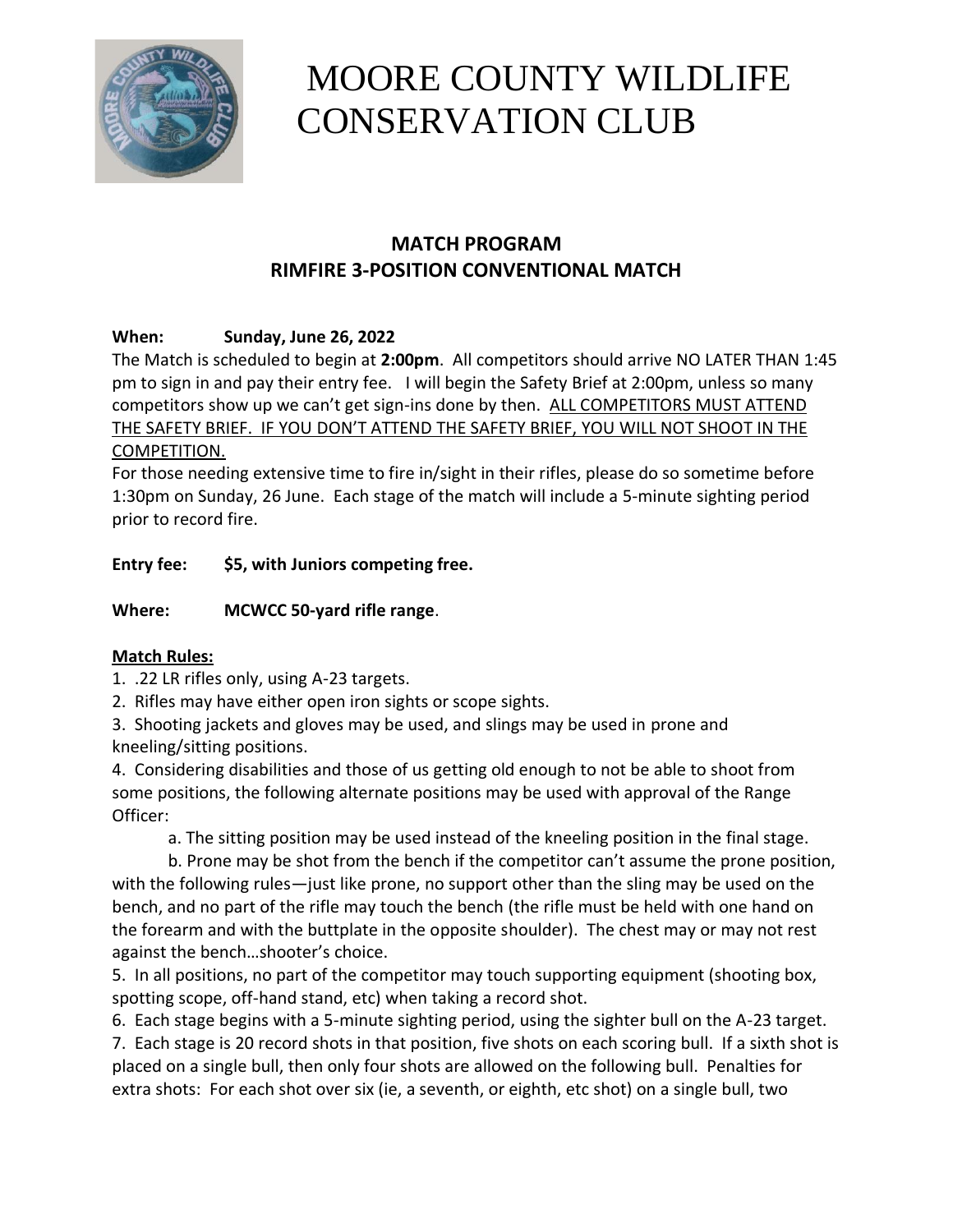

# MOORE COUNTY WILDLIFE CONSERVATION CLUB

# **MATCH PROGRAM RIMFIRE 3-POSITION CONVENTIONAL MATCH**

# **When: Sunday, June 26, 2022**

The Match is scheduled to begin at **2:00pm**. All competitors should arrive NO LATER THAN 1:45 pm to sign in and pay their entry fee. I will begin the Safety Brief at 2:00pm, unless so many competitors show up we can't get sign-ins done by then. ALL COMPETITORS MUST ATTEND THE SAFETY BRIEF. IF YOU DON'T ATTEND THE SAFETY BRIEF, YOU WILL NOT SHOOT IN THE COMPETITION.

For those needing extensive time to fire in/sight in their rifles, please do so sometime before 1:30pm on Sunday, 26 June. Each stage of the match will include a 5-minute sighting period prior to record fire.

**Entry fee: \$5, with Juniors competing free.**

**Where: MCWCC 50-yard rifle range**.

# **Match Rules:**

1. .22 LR rifles only, using A-23 targets.

2. Rifles may have either open iron sights or scope sights.

3. Shooting jackets and gloves may be used, and slings may be used in prone and kneeling/sitting positions.

4. Considering disabilities and those of us getting old enough to not be able to shoot from some positions, the following alternate positions may be used with approval of the Range Officer:

a. The sitting position may be used instead of the kneeling position in the final stage.

b. Prone may be shot from the bench if the competitor can't assume the prone position, with the following rules—just like prone, no support other than the sling may be used on the bench, and no part of the rifle may touch the bench (the rifle must be held with one hand on the forearm and with the buttplate in the opposite shoulder). The chest may or may not rest against the bench…shooter's choice.

5. In all positions, no part of the competitor may touch supporting equipment (shooting box, spotting scope, off-hand stand, etc) when taking a record shot.

6. Each stage begins with a 5-minute sighting period, using the sighter bull on the A-23 target. 7. Each stage is 20 record shots in that position, five shots on each scoring bull. If a sixth shot is placed on a single bull, then only four shots are allowed on the following bull. Penalties for extra shots: For each shot over six (ie, a seventh, or eighth, etc shot) on a single bull, two